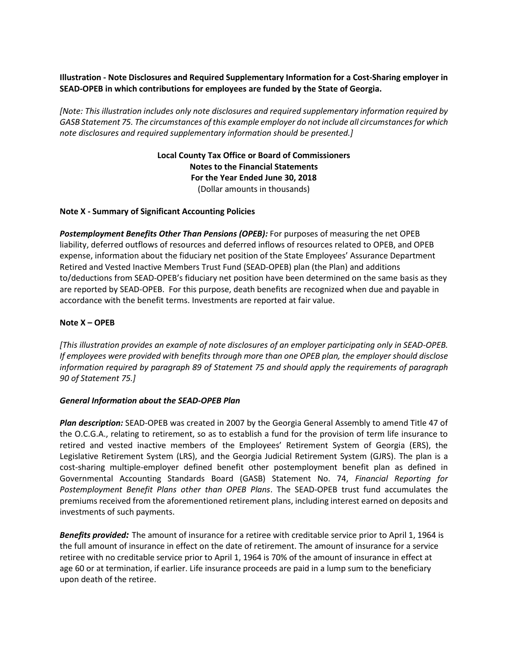# **Illustration - Note Disclosures and Required Supplementary Information for a Cost-Sharing employer in SEAD-OPEB in which contributions for employees are funded by the State of Georgia.**

*[Note: This illustration includes only note disclosures and required supplementary information required by GASB Statement 75. The circumstances of this example employer do not include all circumstances for which note disclosures and required supplementary information should be presented.]*

> **Local County Tax Office or Board of Commissioners Notes to the Financial Statements For the Year Ended June 30, 2018** (Dollar amounts in thousands)

### **Note X - Summary of Significant Accounting Policies**

*Postemployment Benefits Other Than Pensions (OPEB):* For purposes of measuring the net OPEB liability, deferred outflows of resources and deferred inflows of resources related to OPEB, and OPEB expense, information about the fiduciary net position of the State Employees' Assurance Department Retired and Vested Inactive Members Trust Fund (SEAD-OPEB) plan (the Plan) and additions to/deductions from SEAD-OPEB's fiduciary net position have been determined on the same basis as they are reported by SEAD-OPEB. For this purpose, death benefits are recognized when due and payable in accordance with the benefit terms. Investments are reported at fair value.

### **Note X – OPEB**

*[This illustration provides an example of note disclosures of an employer participating only in SEAD-OPEB. If employees were provided with benefits through more than one OPEB plan, the employer should disclose information required by paragraph 89 of Statement 75 and should apply the requirements of paragraph 90 of Statement 75.]*

#### *General Information about the SEAD-OPEB Plan*

*Plan description:* SEAD-OPEB was created in 2007 by the Georgia General Assembly to amend Title 47 of the O.C.G.A., relating to retirement, so as to establish a fund for the provision of term life insurance to retired and vested inactive members of the Employees' Retirement System of Georgia (ERS), the Legislative Retirement System (LRS), and the Georgia Judicial Retirement System (GJRS). The plan is a cost-sharing multiple-employer defined benefit other postemployment benefit plan as defined in Governmental Accounting Standards Board (GASB) Statement No. 74, *Financial Reporting for Postemployment Benefit Plans other than OPEB Plans*. The SEAD-OPEB trust fund accumulates the premiums received from the aforementioned retirement plans, including interest earned on deposits and investments of such payments.

*Benefits provided:* The amount of insurance for a retiree with creditable service prior to April 1, 1964 is the full amount of insurance in effect on the date of retirement. The amount of insurance for a service retiree with no creditable service prior to April 1, 1964 is 70% of the amount of insurance in effect at age 60 or at termination, if earlier. Life insurance proceeds are paid in a lump sum to the beneficiary upon death of the retiree.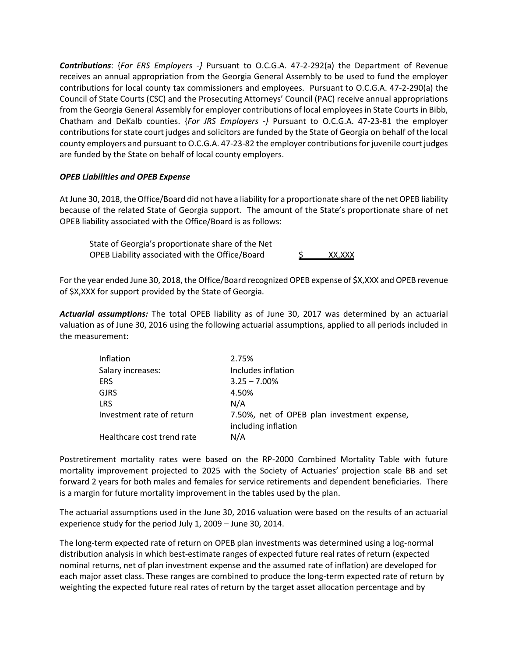*Contributions*: {*For ERS Employers -}* Pursuant to O.C.G.A. 47-2-292(a) the Department of Revenue receives an annual appropriation from the Georgia General Assembly to be used to fund the employer contributions for local county tax commissioners and employees. Pursuant to O.C.G.A. 47-2-290(a) the Council of State Courts (CSC) and the Prosecuting Attorneys' Council (PAC) receive annual appropriations from the Georgia General Assembly for employer contributions of local employees in State Courts in Bibb, Chatham and DeKalb counties. {*For JRS Employers -}* Pursuant to O.C.G.A. 47-23-81 the employer contributions for state court judges and solicitors are funded by the State of Georgia on behalf of the local county employers and pursuant to O.C.G.A. 47-23-82 the employer contributions for juvenile court judges are funded by the State on behalf of local county employers.

### *OPEB Liabilities and OPEB Expense*

At June 30, 2018, the Office/Board did not have a liability for a proportionate share of the net OPEB liability because of the related State of Georgia support. The amount of the State's proportionate share of net OPEB liability associated with the Office/Board is as follows:

State of Georgia's proportionate share of the Net OPEB Liability associated with the Office/Board  $\frac{1}{2}$  XX,XXX

For the year ended June 30, 2018, the Office/Board recognized OPEB expense of \$X,XXX and OPEB revenue of \$X,XXX for support provided by the State of Georgia.

*Actuarial assumptions:* The total OPEB liability as of June 30, 2017 was determined by an actuarial valuation as of June 30, 2016 using the following actuarial assumptions, applied to all periods included in the measurement:

| Inflation                  | 2.75%                                       |
|----------------------------|---------------------------------------------|
| Salary increases:          | Includes inflation                          |
| <b>ERS</b>                 | $3.25 - 7.00\%$                             |
| <b>GJRS</b>                | 4.50%                                       |
| <b>LRS</b>                 | N/A                                         |
| Investment rate of return  | 7.50%, net of OPEB plan investment expense, |
|                            | including inflation                         |
| Healthcare cost trend rate | N/A                                         |

Postretirement mortality rates were based on the RP-2000 Combined Mortality Table with future mortality improvement projected to 2025 with the Society of Actuaries' projection scale BB and set forward 2 years for both males and females for service retirements and dependent beneficiaries. There is a margin for future mortality improvement in the tables used by the plan.

The actuarial assumptions used in the June 30, 2016 valuation were based on the results of an actuarial experience study for the period July 1, 2009 – June 30, 2014.

The long-term expected rate of return on OPEB plan investments was determined using a log-normal distribution analysis in which best-estimate ranges of expected future real rates of return (expected nominal returns, net of plan investment expense and the assumed rate of inflation) are developed for each major asset class. These ranges are combined to produce the long-term expected rate of return by weighting the expected future real rates of return by the target asset allocation percentage and by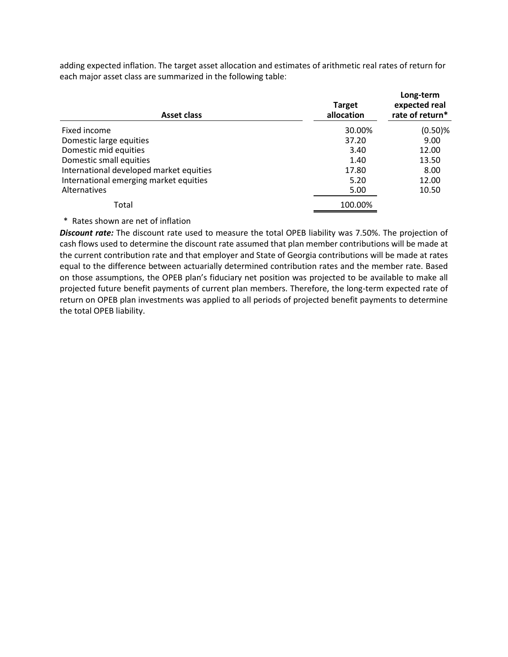adding expected inflation. The target asset allocation and estimates of arithmetic real rates of return for each major asset class are summarized in the following table:

| <b>Asset class</b>                      | <b>Target</b><br>allocation | Long-term<br>expected real<br>rate of return* |
|-----------------------------------------|-----------------------------|-----------------------------------------------|
| Fixed income                            | 30.00%                      | $(0.50)$ %                                    |
| Domestic large equities                 | 37.20                       | 9.00                                          |
| Domestic mid equities                   | 3.40                        | 12.00                                         |
| Domestic small equities                 | 1.40                        | 13.50                                         |
| International developed market equities | 17.80                       | 8.00                                          |
| International emerging market equities  | 5.20                        | 12.00                                         |
| Alternatives                            | 5.00                        | 10.50                                         |
| Total                                   | 100.00%                     |                                               |

\* Rates shown are net of inflation

*Discount rate:* The discount rate used to measure the total OPEB liability was 7.50%. The projection of cash flows used to determine the discount rate assumed that plan member contributions will be made at the current contribution rate and that employer and State of Georgia contributions will be made at rates equal to the difference between actuarially determined contribution rates and the member rate. Based on those assumptions, the OPEB plan's fiduciary net position was projected to be available to make all projected future benefit payments of current plan members. Therefore, the long-term expected rate of return on OPEB plan investments was applied to all periods of projected benefit payments to determine the total OPEB liability.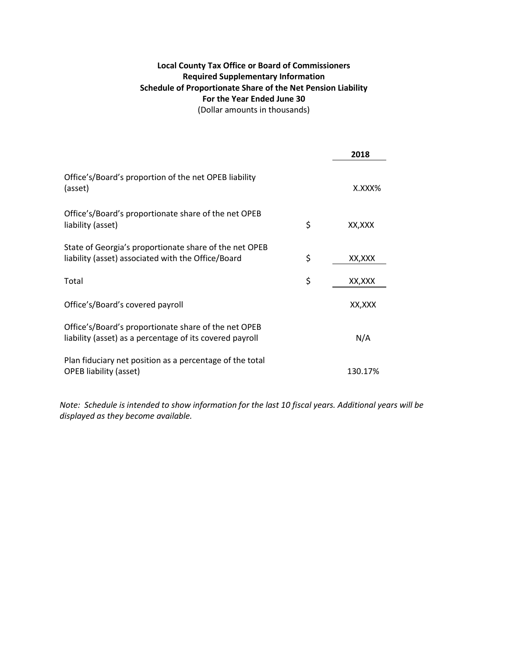# **Local County Tax Office or Board of Commissioners Required Supplementary Information Schedule of Proportionate Share of the Net Pension Liability For the Year Ended June 30** (Dollar amounts in thousands)

|                                                                                                                  | 2018          |
|------------------------------------------------------------------------------------------------------------------|---------------|
| Office's/Board's proportion of the net OPEB liability<br>(asset)                                                 | X.XXX%        |
| Office's/Board's proportionate share of the net OPEB<br>liability (asset)                                        | \$<br>XX,XXX  |
| State of Georgia's proportionate share of the net OPEB<br>liability (asset) associated with the Office/Board     | \$<br>XX, XXX |
| Total                                                                                                            | \$<br>XX,XXX  |
| Office's/Board's covered payroll                                                                                 | XX,XXX        |
| Office's/Board's proportionate share of the net OPEB<br>liability (asset) as a percentage of its covered payroll | N/A           |
| Plan fiduciary net position as a percentage of the total<br><b>OPEB</b> liability (asset)                        | 130.17%       |

*Note: Schedule is intended to show information for the last 10 fiscal years. Additional years will be displayed as they become available.*